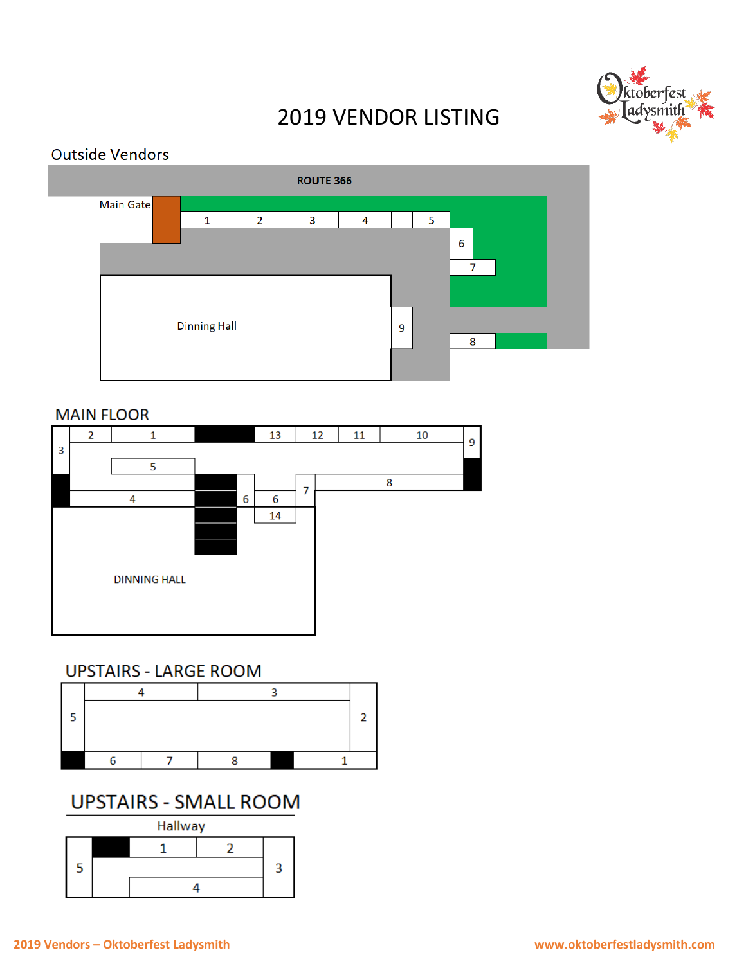

# 2019 VENDOR LISTING

## **Outside Vendors**



### **MAIN FLOOR**



## **UPSTAIRS - LARGE ROOM**



## **UPSTAIRS - SMALL ROOM**

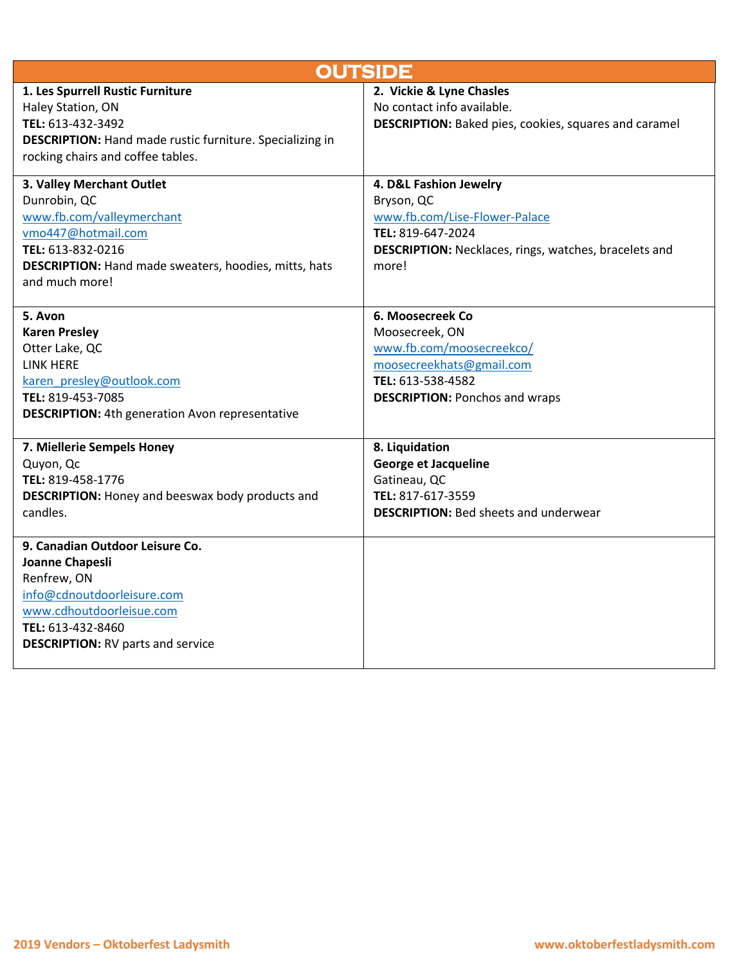| <b>OUTSIDE</b>                                                                                                                                                                                      |                                                                                                                                                                     |  |
|-----------------------------------------------------------------------------------------------------------------------------------------------------------------------------------------------------|---------------------------------------------------------------------------------------------------------------------------------------------------------------------|--|
| 1. Les Spurrell Rustic Furniture<br>Haley Station, ON<br>TEL: 613-432-3492<br><b>DESCRIPTION:</b> Hand made rustic furniture. Specializing in<br>rocking chairs and coffee tables.                  | 2. Vickie & Lyne Chasles<br>No contact info available.<br><b>DESCRIPTION:</b> Baked pies, cookies, squares and caramel                                              |  |
| 3. Valley Merchant Outlet<br>Dunrobin, QC<br>www.fb.com/valleymerchant<br>vmo447@hotmail.com<br>TEL: 613-832-0216<br><b>DESCRIPTION:</b> Hand made sweaters, hoodies, mitts, hats<br>and much more! | 4. D&L Fashion Jewelry<br>Bryson, QC<br>www.fb.com/Lise-Flower-Palace<br>TEL: 819-647-2024<br><b>DESCRIPTION:</b> Necklaces, rings, watches, bracelets and<br>more! |  |
| 5. Avon<br><b>Karen Presley</b><br>Otter Lake, QC<br>LINK HERE<br>karen presley@outlook.com<br>TEL: 819-453-7085<br><b>DESCRIPTION:</b> 4th generation Avon representative                          | 6. Moosecreek Co<br>Moosecreek, ON<br>www.fb.com/moosecreekco/<br>moosecreekhats@gmail.com<br>TEL: 613-538-4582<br><b>DESCRIPTION: Ponchos and wraps</b>            |  |
| 7. Miellerie Sempels Honey<br>Quyon, Qc<br>TEL: 819-458-1776<br><b>DESCRIPTION:</b> Honey and beeswax body products and<br>candles.                                                                 | 8. Liquidation<br><b>George et Jacqueline</b><br>Gatineau, QC<br>TEL: 817-617-3559<br><b>DESCRIPTION: Bed sheets and underwear</b>                                  |  |
| 9. Canadian Outdoor Leisure Co.<br>Joanne Chapesli<br>Renfrew, ON<br>info@cdnoutdoorleisure.com<br>www.cdhoutdoorleisue.com<br>TEL: 613-432-8460<br><b>DESCRIPTION: RV parts and service</b>        |                                                                                                                                                                     |  |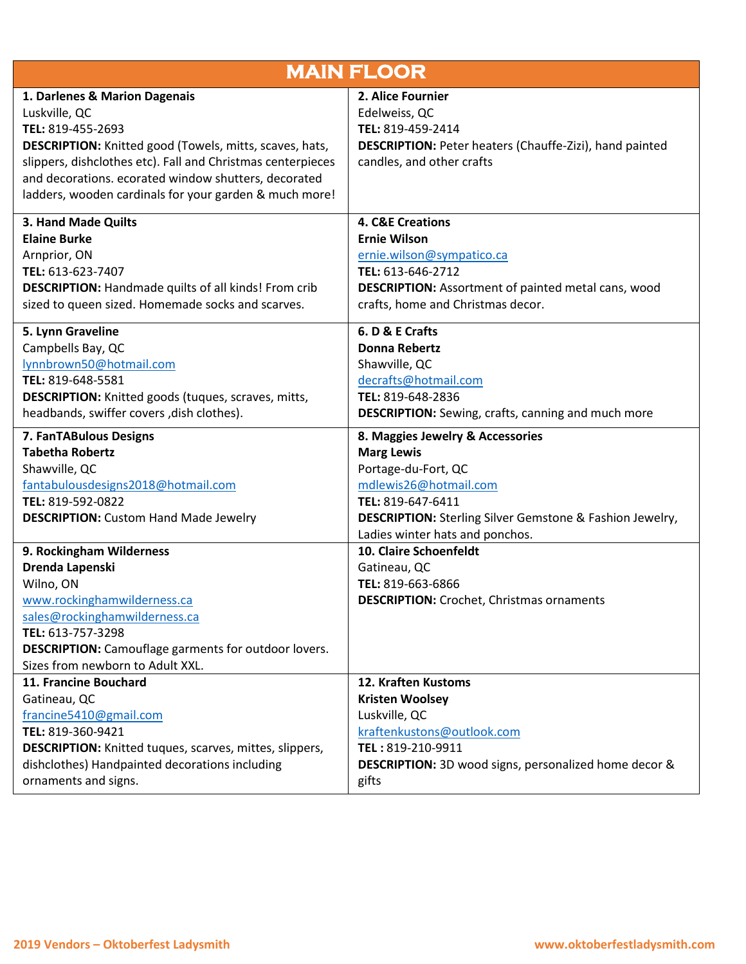| <b>MAIN FLOOR</b>                                                                                                |                                                                            |  |
|------------------------------------------------------------------------------------------------------------------|----------------------------------------------------------------------------|--|
| 1. Darlenes & Marion Dagenais                                                                                    | 2. Alice Fournier                                                          |  |
| Luskville, QC                                                                                                    | Edelweiss, QC                                                              |  |
| TEL: 819-455-2693                                                                                                | TEL: 819-459-2414                                                          |  |
| <b>DESCRIPTION:</b> Knitted good (Towels, mitts, scaves, hats,                                                   | <b>DESCRIPTION:</b> Peter heaters (Chauffe-Zizi), hand painted             |  |
| slippers, dishclothes etc). Fall and Christmas centerpieces                                                      | candles, and other crafts                                                  |  |
| and decorations. ecorated window shutters, decorated                                                             |                                                                            |  |
| ladders, wooden cardinals for your garden & much more!                                                           |                                                                            |  |
| 3. Hand Made Quilts                                                                                              | <b>4. C&amp;E Creations</b>                                                |  |
| <b>Elaine Burke</b>                                                                                              | <b>Ernie Wilson</b>                                                        |  |
| Arnprior, ON                                                                                                     | ernie.wilson@sympatico.ca                                                  |  |
| TEL: 613-623-7407                                                                                                | TEL: 613-646-2712                                                          |  |
| <b>DESCRIPTION:</b> Handmade quilts of all kinds! From crib                                                      | <b>DESCRIPTION:</b> Assortment of painted metal cans, wood                 |  |
| sized to queen sized. Homemade socks and scarves.                                                                | crafts, home and Christmas decor.                                          |  |
| 5. Lynn Graveline                                                                                                | 6. D & E Crafts                                                            |  |
| Campbells Bay, QC                                                                                                | <b>Donna Rebertz</b>                                                       |  |
| lynnbrown50@hotmail.com                                                                                          | Shawville, QC                                                              |  |
| TEL: 819-648-5581                                                                                                | decrafts@hotmail.com                                                       |  |
| <b>DESCRIPTION:</b> Knitted goods (tuques, scraves, mitts,                                                       | TEL: 819-648-2836                                                          |  |
| headbands, swiffer covers, dish clothes).                                                                        | <b>DESCRIPTION:</b> Sewing, crafts, canning and much more                  |  |
| 7. FanTABulous Designs                                                                                           | 8. Maggies Jewelry & Accessories                                           |  |
| <b>Tabetha Robertz</b>                                                                                           | <b>Marg Lewis</b>                                                          |  |
| Shawville, QC                                                                                                    | Portage-du-Fort, QC                                                        |  |
| fantabulousdesigns2018@hotmail.com                                                                               | mdlewis26@hotmail.com                                                      |  |
| TEL: 819-592-0822                                                                                                | TEL: 819-647-6411                                                          |  |
| <b>DESCRIPTION:</b> Custom Hand Made Jewelry                                                                     | <b>DESCRIPTION:</b> Sterling Silver Gemstone & Fashion Jewelry,            |  |
|                                                                                                                  | Ladies winter hats and ponchos.                                            |  |
| 9. Rockingham Wilderness                                                                                         | 10. Claire Schoenfeldt                                                     |  |
| Drenda Lapenski                                                                                                  | Gatineau, QC                                                               |  |
| Wilno, ON                                                                                                        | TEL: 819-663-6866                                                          |  |
|                                                                                                                  |                                                                            |  |
| www.rockinghamwilderness.ca                                                                                      | <b>DESCRIPTION:</b> Crochet, Christmas ornaments                           |  |
| sales@rockinghamwilderness.ca                                                                                    |                                                                            |  |
| TEL: 613-757-3298                                                                                                |                                                                            |  |
| <b>DESCRIPTION:</b> Camouflage garments for outdoor lovers.                                                      |                                                                            |  |
| Sizes from newborn to Adult XXL.                                                                                 |                                                                            |  |
| 11. Francine Bouchard                                                                                            | 12. Kraften Kustoms                                                        |  |
| Gatineau, QC                                                                                                     | <b>Kristen Woolsey</b>                                                     |  |
| francine5410@gmail.com                                                                                           | Luskville, QC                                                              |  |
| TEL: 819-360-9421                                                                                                | kraftenkustons@outlook.com                                                 |  |
| <b>DESCRIPTION:</b> Knitted tuques, scarves, mittes, slippers,<br>dishclothes) Handpainted decorations including | TEL: 819-210-9911<br>DESCRIPTION: 3D wood signs, personalized home decor & |  |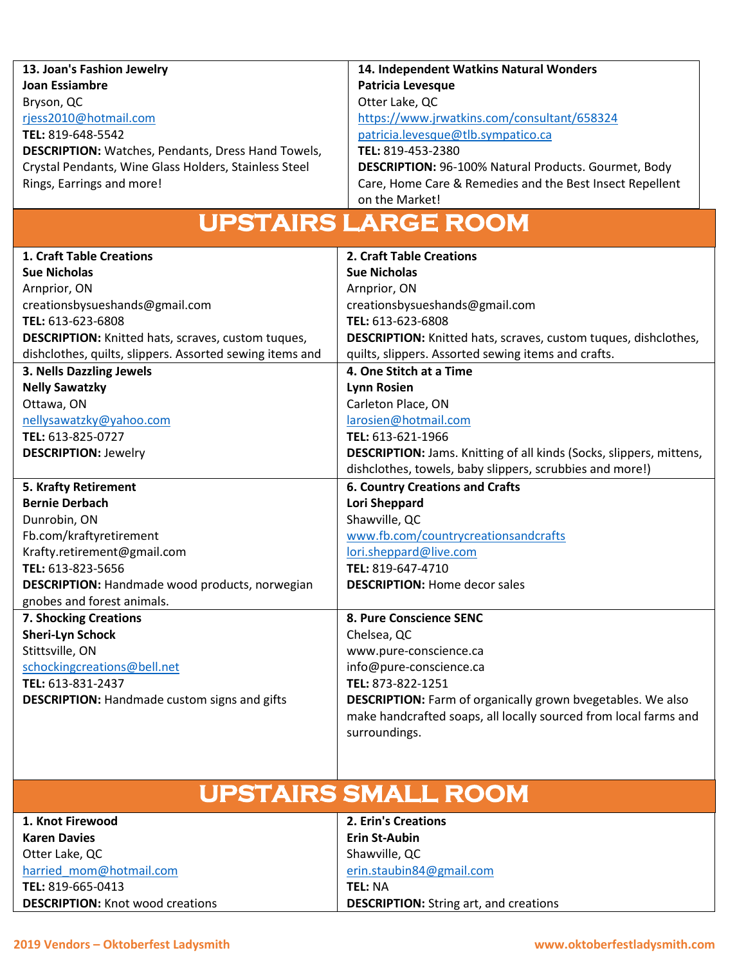| 13. Joan's Fashion Jewelry                                | 14. Independent Watkins Natural Wonders                                    |
|-----------------------------------------------------------|----------------------------------------------------------------------------|
| <b>Joan Essiambre</b>                                     | <b>Patricia Levesque</b>                                                   |
| Bryson, QC                                                | Otter Lake, QC                                                             |
| rjess2010@hotmail.com                                     | https://www.jrwatkins.com/consultant/658324                                |
| TEL: 819-648-5542                                         | patricia.levesque@tlb.sympatico.ca                                         |
| <b>DESCRIPTION:</b> Watches, Pendants, Dress Hand Towels, | TEL: 819-453-2380                                                          |
| Crystal Pendants, Wine Glass Holders, Stainless Steel     | <b>DESCRIPTION: 96-100% Natural Products. Gourmet, Body</b>                |
| Rings, Earrings and more!                                 | Care, Home Care & Remedies and the Best Insect Repellent<br>on the Market! |

# **UPSTAIRS LARGE ROOM**

| 1. Craft Table Creations                                  | 2. Craft Table Creations                                               |
|-----------------------------------------------------------|------------------------------------------------------------------------|
| <b>Sue Nicholas</b>                                       | <b>Sue Nicholas</b>                                                    |
| Arnprior, ON                                              | Arnprior, ON                                                           |
| creationsbysueshands@gmail.com                            | creationsbysueshands@gmail.com                                         |
| TEL: 613-623-6808                                         | TEL: 613-623-6808                                                      |
| <b>DESCRIPTION:</b> Knitted hats, scraves, custom tuques, | <b>DESCRIPTION:</b> Knitted hats, scraves, custom tuques, dishclothes, |
| dishclothes, quilts, slippers. Assorted sewing items and  | quilts, slippers. Assorted sewing items and crafts.                    |
| 3. Nells Dazzling Jewels                                  | 4. One Stitch at a Time                                                |
| <b>Nelly Sawatzky</b>                                     | <b>Lynn Rosien</b>                                                     |
| Ottawa, ON                                                | Carleton Place, ON                                                     |
| nellysawatzky@yahoo.com                                   | larosien@hotmail.com                                                   |
| TEL: 613-825-0727                                         | TEL: 613-621-1966                                                      |
| <b>DESCRIPTION: Jewelry</b>                               | DESCRIPTION: Jams. Knitting of all kinds (Socks, slippers, mittens,    |
|                                                           | dishclothes, towels, baby slippers, scrubbies and more!)               |
| <b>5. Krafty Retirement</b>                               | <b>6. Country Creations and Crafts</b>                                 |
| <b>Bernie Derbach</b>                                     | <b>Lori Sheppard</b>                                                   |
| Dunrobin, ON                                              | Shawville, QC                                                          |
| Fb.com/kraftyretirement                                   | www.fb.com/countrycreationsandcrafts                                   |
| Krafty.retirement@gmail.com                               | lori.sheppard@live.com                                                 |
| TEL: 613-823-5656                                         | TEL: 819-647-4710                                                      |
| <b>DESCRIPTION:</b> Handmade wood products, norwegian     | <b>DESCRIPTION: Home decor sales</b>                                   |
| gnobes and forest animals.                                |                                                                        |
| 7. Shocking Creations                                     | 8. Pure Conscience SENC                                                |
| <b>Sheri-Lyn Schock</b>                                   | Chelsea, QC                                                            |
| Stittsville, ON                                           | www.pure-conscience.ca                                                 |
| schockingcreations@bell.net                               | info@pure-conscience.ca                                                |
| TEL: 613-831-2437                                         | TEL: 873-822-1251                                                      |
| <b>DESCRIPTION:</b> Handmade custom signs and gifts       | <b>DESCRIPTION:</b> Farm of organically grown bvegetables. We also     |
|                                                           | make handcrafted soaps, all locally sourced from local farms and       |
|                                                           | surroundings.                                                          |
|                                                           |                                                                        |

# **UPSTAIRS SMALL ROOM**

| 1. Knot Firewood                        | <b>2. Erin's Creations</b>                    |
|-----------------------------------------|-----------------------------------------------|
| <b>Karen Davies</b>                     | <b>Erin St-Aubin</b>                          |
| Otter Lake, QC                          | Shawville, QC                                 |
| harried mom@hotmail.com                 | erin.staubin84@gmail.com                      |
| TEL: 819-665-0413                       | TEL: NA                                       |
| <b>DESCRIPTION:</b> Knot wood creations | <b>DESCRIPTION:</b> String art, and creations |